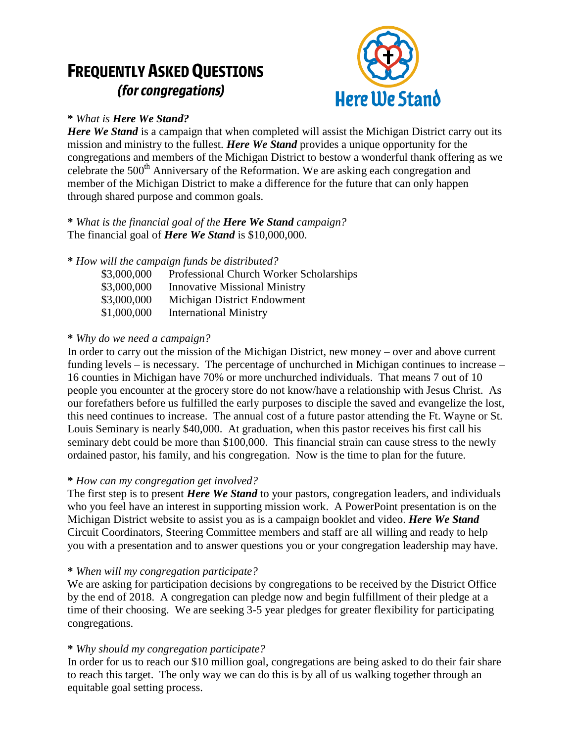# **FREQUENTLY ASKED QUESTIONS** (for congregations)



# **\*** *What is Here We Stand?*

*Here We Stand* is a campaign that when completed will assist the Michigan District carry out its mission and ministry to the fullest. *Here We Stand* provides a unique opportunity for the congregations and members of the Michigan District to bestow a wonderful thank offering as we celebrate the  $500<sup>th</sup>$  Anniversary of the Reformation. We are asking each congregation and member of the Michigan District to make a difference for the future that can only happen through shared purpose and common goals.

**\*** *What is the financial goal of the Here We Stand campaign?* The financial goal of *Here We Stand* is \$10,000,000.

# **\*** *How will the campaign funds be distributed?*

| Professional Church Worker Scholarships |
|-----------------------------------------|
| <b>Innovative Missional Ministry</b>    |
| Michigan District Endowment             |
| <b>International Ministry</b>           |
|                                         |

# **\*** *Why do we need a campaign?*

In order to carry out the mission of the Michigan District, new money – over and above current funding levels – is necessary. The percentage of unchurched in Michigan continues to increase – 16 counties in Michigan have 70% or more unchurched individuals. That means 7 out of 10 people you encounter at the grocery store do not know/have a relationship with Jesus Christ. As our forefathers before us fulfilled the early purposes to disciple the saved and evangelize the lost, this need continues to increase. The annual cost of a future pastor attending the Ft. Wayne or St. Louis Seminary is nearly \$40,000. At graduation, when this pastor receives his first call his seminary debt could be more than \$100,000. This financial strain can cause stress to the newly ordained pastor, his family, and his congregation. Now is the time to plan for the future.

# **\*** *How can my congregation get involved?*

The first step is to present *Here We Stand* to your pastors, congregation leaders, and individuals who you feel have an interest in supporting mission work. A PowerPoint presentation is on the Michigan District website to assist you as is a campaign booklet and video. *Here We Stand* Circuit Coordinators, Steering Committee members and staff are all willing and ready to help you with a presentation and to answer questions you or your congregation leadership may have.

# **\*** *When will my congregation participate?*

We are asking for participation decisions by congregations to be received by the District Office by the end of 2018. A congregation can pledge now and begin fulfillment of their pledge at a time of their choosing. We are seeking 3-5 year pledges for greater flexibility for participating congregations.

# **\*** *Why should my congregation participate?*

In order for us to reach our \$10 million goal, congregations are being asked to do their fair share to reach this target. The only way we can do this is by all of us walking together through an equitable goal setting process.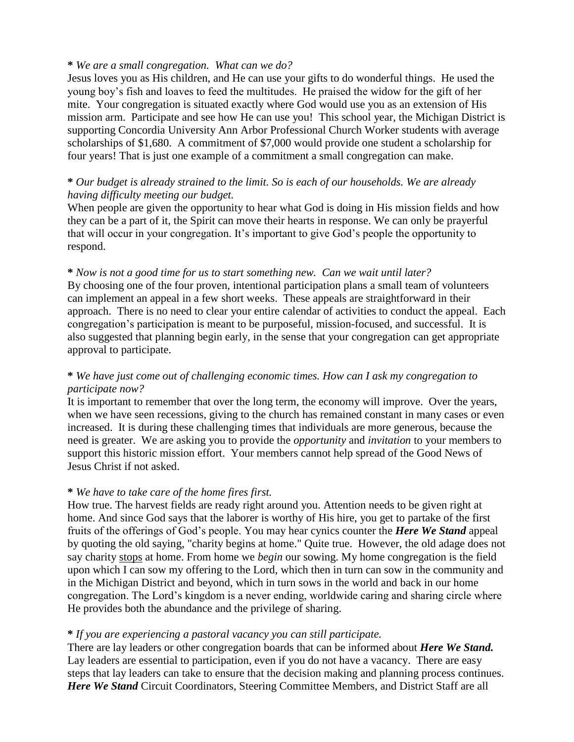#### **\*** *We are a small congregation. What can we do?*

Jesus loves you as His children, and He can use your gifts to do wonderful things. He used the young boy's fish and loaves to feed the multitudes. He praised the widow for the gift of her mite. Your congregation is situated exactly where God would use you as an extension of His mission arm. Participate and see how He can use you! This school year, the Michigan District is supporting Concordia University Ann Arbor Professional Church Worker students with average scholarships of \$1,680. A commitment of \$7,000 would provide one student a scholarship for four years! That is just one example of a commitment a small congregation can make.

## **\*** *Our budget is already strained to the limit. So is each of our households. We are already having difficulty meeting our budget.*

When people are given the opportunity to hear what God is doing in His mission fields and how they can be a part of it, the Spirit can move their hearts in response. We can only be prayerful that will occur in your congregation. It's important to give God's people the opportunity to respond.

#### **\*** *Now is not a good time for us to start something new. Can we wait until later?*

By choosing one of the four proven, intentional participation plans a small team of volunteers can implement an appeal in a few short weeks. These appeals are straightforward in their approach. There is no need to clear your entire calendar of activities to conduct the appeal. Each congregation's participation is meant to be purposeful, mission-focused, and successful. It is also suggested that planning begin early, in the sense that your congregation can get appropriate approval to participate.

## **\*** *We have just come out of challenging economic times. How can I ask my congregation to participate now?*

It is important to remember that over the long term, the economy will improve. Over the years, when we have seen recessions, giving to the church has remained constant in many cases or even increased. It is during these challenging times that individuals are more generous, because the need is greater. We are asking you to provide the *opportunity* and *invitation* to your members to support this historic mission effort. Your members cannot help spread of the Good News of Jesus Christ if not asked.

#### **\*** *We have to take care of the home fires first.*

How true. The harvest fields are ready right around you. Attention needs to be given right at home. And since God says that the laborer is worthy of His hire, you get to partake of the first fruits of the offerings of God's people. You may hear cynics counter the *Here We Stand* appeal by quoting the old saying, "charity begins at home." Quite true. However, the old adage does not say charity stops at home. From home we *begin* our sowing. My home congregation is the field upon which I can sow my offering to the Lord, which then in turn can sow in the community and in the Michigan District and beyond, which in turn sows in the world and back in our home congregation. The Lord's kingdom is a never ending, worldwide caring and sharing circle where He provides both the abundance and the privilege of sharing.

## **\*** *If you are experiencing a pastoral vacancy you can still participate.*

There are lay leaders or other congregation boards that can be informed about *Here We Stand.*  Lay leaders are essential to participation, even if you do not have a vacancy. There are easy steps that lay leaders can take to ensure that the decision making and planning process continues. *Here We Stand* Circuit Coordinators, Steering Committee Members, and District Staff are all